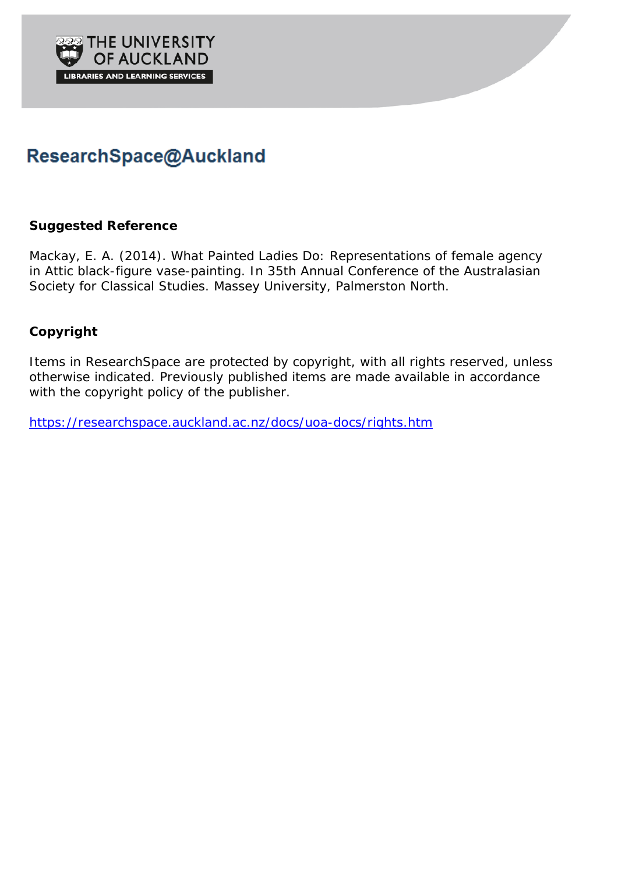

# ResearchSpace@Auckland

### **Suggested Reference**

Mackay, E. A. (2014). What Painted Ladies Do: Representations of female agency in Attic black-figure vase-painting. In 35th Annual Conference of the Australasian Society for Classical Studies. Massey University, Palmerston North.

## **Copyright**

Items in ResearchSpace are protected by copyright, with all rights reserved, unless otherwise indicated. Previously published items are made available in accordance with the copyright policy of the publisher.

<https://researchspace.auckland.ac.nz/docs/uoa-docs/rights.htm>